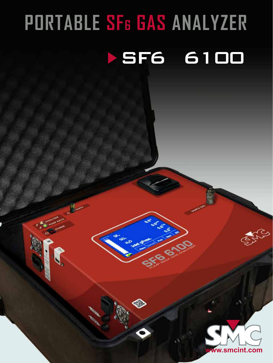# **PORTABLE SF6 GAS ANALYZI SF6 610**

Janeira Maria

◈

**II** were